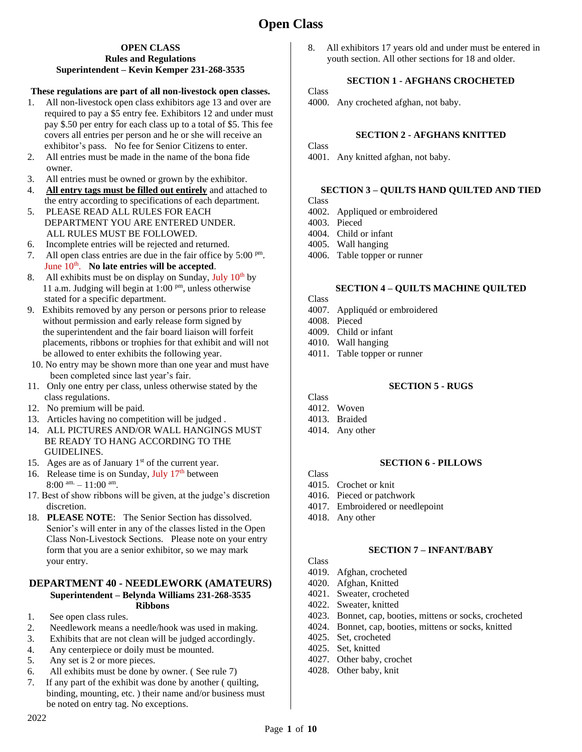#### **OPEN CLASS Rules and Regulations Superintendent – Kevin Kemper 231-268-3535**

## **These regulations are part of all non-livestock open classes.**

- 1. All non-livestock open class exhibitors age 13 and over are required to pay a \$5 entry fee. Exhibitors 12 and under must pay \$.50 per entry for each class up to a total of \$5. This fee covers all entries per person and he or she will receive an exhibitor's pass. No fee for Senior Citizens to enter.
- 2. All entries must be made in the name of the bona fide owner.
- 3. All entries must be owned or grown by the exhibitor.
- 4. **All entry tags must be filled out entirely** and attached to the entry according to specifications of each department.
- 5. PLEASE READ ALL RULES FOR EACH DEPARTMENT YOU ARE ENTERED UNDER. ALL RULES MUST BE FOLLOWED.
- 6. Incomplete entries will be rejected and returned.
- 7. All open class entries are due in the fair office by  $5:00 \text{ pm}$ . June 10<sup>th</sup>. No late entries will be accepted.
- 8. All exhibits must be on display on Sunday, July  $10<sup>th</sup>$  by 11 a.m. Judging will begin at 1:00  $^{pm}$ , unless otherwise stated for a specific department.
- 9. Exhibits removed by any person or persons prior to release without permission and early release form signed by the superintendent and the fair board liaison will forfeit placements, ribbons or trophies for that exhibit and will not be allowed to enter exhibits the following year.
- 10. No entry may be shown more than one year and must have been completed since last year's fair.
- 11. Only one entry per class, unless otherwise stated by the class regulations.
- 12. No premium will be paid.
- 13. Articles having no competition will be judged .
- 14. ALL PICTURES AND/OR WALL HANGINGS MUST BE READY TO HANG ACCORDING TO THE GUIDELINES.
- 15. Ages are as of January  $1<sup>st</sup>$  of the current year.
- 16. Release time is on Sunday, July 17<sup>th</sup> between  $8:00 \text{ am.} - 11:00 \text{ am.}$
- 17. Best of show ribbons will be given, at the judge's discretion discretion.
- 18. **PLEASE NOTE**: The Senior Section has dissolved. Senior's will enter in any of the classes listed in the Open Class Non-Livestock Sections. Please note on your entry form that you are a senior exhibitor, so we may mark your entry.

#### **DEPARTMENT 40 - NEEDLEWORK (AMATEURS) Superintendent – Belynda Williams 231-268-3535 Ribbons**

- 1. See open class rules.
- 2. Needlework means a needle/hook was used in making.
- 3. Exhibits that are not clean will be judged accordingly.
- 4. Any centerpiece or doily must be mounted.
- 5. Any set is 2 or more pieces.
- 6. All exhibits must be done by owner. ( See rule 7)
- 7. If any part of the exhibit was done by another ( quilting, binding, mounting, etc. ) their name and/or business must be noted on entry tag. No exceptions.

8. All exhibitors 17 years old and under must be entered in youth section. All other sections for 18 and older.

### **SECTION 1 - AFGHANS CROCHETED**

Class

4000. Any crocheted afghan, not baby.

### **SECTION 2 - AFGHANS KNITTED**

**Class** 

4001. Any knitted afghan, not baby.

## **SECTION 3 – QUILTS HAND QUILTED AND TIED**

- **Class**
- 4002. Appliqued or embroidered
- 4003. Pieced
- 4004. Child or infant
- 4005. Wall hanging
- 4006. Table topper or runner

## **SECTION 4 – QUILTS MACHINE QUILTED**

- **Class**
- 4007. Appliquéd or embroidered
- 4008. Pieced
- 4009. Child or infant
- 4010. Wall hanging
- 4011. Table topper or runner

#### **SECTION 5 - RUGS**

Class

- 4012. Woven
- 4013. Braided
- 4014. Any other

## **SECTION 6 - PILLOWS**

- Class
- 4015. Crochet or knit
- 4016. Pieced or patchwork
- 4017. Embroidered or needlepoint
- 4018. Any other

#### **SECTION 7 – INFANT/BABY**

- 4019. Afghan, crocheted
- 4020. Afghan, Knitted
- 4021. Sweater, crocheted
- 4022. Sweater, knitted
- 4023. Bonnet, cap, booties, mittens or socks, crocheted
- 4024. Bonnet, cap, booties, mittens or socks, knitted
- 4025. Set, crocheted
- 4025. Set, knitted
- 4027. Other baby, crochet
- 4028. Other baby, knit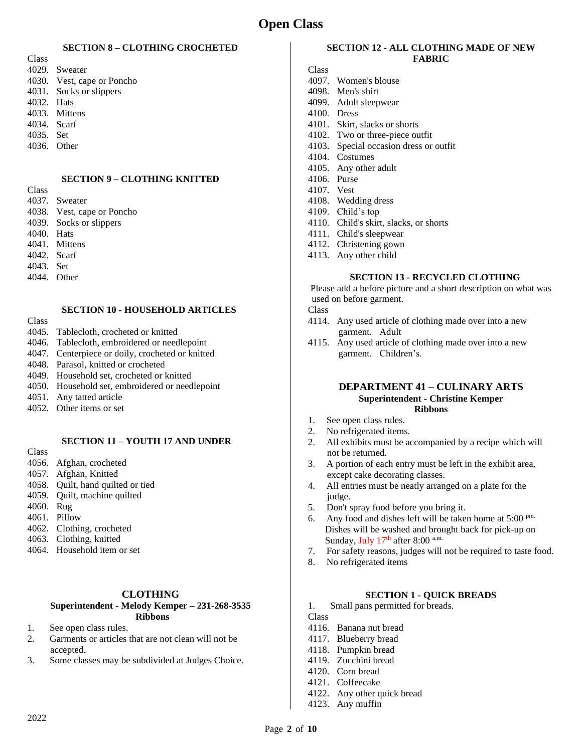# **Open Class**

#### **SECTION 8 – CLOTHING CROCHETED**

- **Class** 4029. Sweater
- 4030. Vest, cape or Poncho
- 4031. Socks or slippers
- 4032. Hats
- 4033. Mittens
- 4034. Scarf
- 4035. Set
- 4036. Other

### **SECTION 9 – CLOTHING KNITTED**

Class

- 4037. Sweater 4038. Vest, cape or Poncho
- 4039. Socks or slippers
- 4040. Hats
- 4041. Mittens
- 4042. Scarf
- 4043. Set
- 4044. Other

## **SECTION 10 - HOUSEHOLD ARTICLES**

- Class
- 4045. Tablecloth, crocheted or knitted
- 4046. Tablecloth, embroidered or needlepoint
- 4047. Centerpiece or doily, crocheted or knitted
- 4048. Parasol, knitted or crocheted
- 4049. Household set, crocheted or knitted
- 4050. Household set, embroidered or needlepoint
- 4051. Any tatted article
- 4052. Other items or set

#### **SECTION 11 – YOUTH 17 AND UNDER**

- Class
- 4056. Afghan, crocheted
- 4057. Afghan, Knitted
- 4058. Quilt, hand quilted or tied 4059. Quilt, machine quilted
- 
- 4060. Rug
- 4061. Pillow
- 4062. Clothing, crocheted
- 4063. Clothing, knitted
- 4064. Household item or set

#### **CLOTHING**

#### **Superintendent - Melody Kemper – 231-268-3535 Ribbons**

- 1. See open class rules.
- 2. Garments or articles that are not clean will not be accepted.
- 3. Some classes may be subdivided at Judges Choice.

## **SECTION 12 - ALL CLOTHING MADE OF NEW FABRIC**

## Class

- 4097. Women's blouse
- 4098. Men's shirt
- 4099. Adult sleepwear
- 4100. Dress
- 4101. Skirt, slacks or shorts
- 4102. Two or three-piece outfit
- 4103. Special occasion dress or outfit
- 4104. Costumes 4105. Any other adult
- 4106. Purse
- 4107. Vest
- 4108. Wedding dress
- 4109. Child's top
- 4110. Child's skirt, slacks, or shorts
- 4111. Child's sleepwear
- 4112. Christening gown
- 4113. Any other child

#### **SECTION 13 - RECYCLED CLOTHING**

Please add a before picture and a short description on what was used on before garment.

#### Class

- 4114. Any used article of clothing made over into a new garment. Adult
- 4115. Any used article of clothing made over into a new garment. Children's.

#### **DEPARTMENT 41 – CULINARY ARTS Superintendent - Christine Kemper Ribbons**

- 1. See open class rules.
- 2. No refrigerated items.
- 2. All exhibits must be accompanied by a recipe which will not be returned.
- 3. A portion of each entry must be left in the exhibit area, except cake decorating classes.
- 4. All entries must be neatly arranged on a plate for the judge.
- 5. Don't spray food before you bring it.
- 6. Any food and dishes left will be taken home at  $5:00^{pm}$ . Dishes will be washed and brought back for pick-up on Sunday, July  $17<sup>th</sup>$  after 8:00 a.m.
- 7. For safety reasons, judges will not be required to taste food.
- 8. No refrigerated items

#### **SECTION 1 - QUICK BREADS**

1. Small pans permitted for breads.

- 4116. Banana nut bread
- 4117. Blueberry bread
- 4118. Pumpkin bread
- 4119. Zucchini bread
- 4120. Corn bread
- 4121. Coffeecake
- 4122. Any other quick bread
- 4123. Any muffin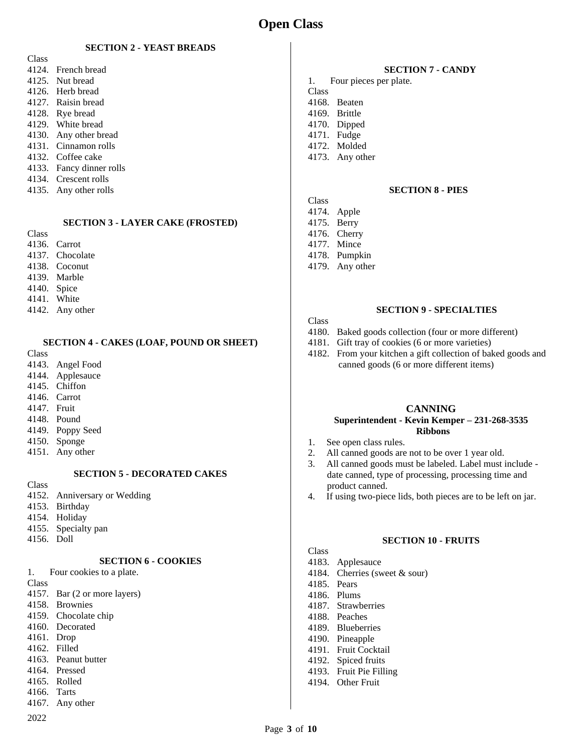## **SECTION 2 - YEAST BREADS**

- Class 4124. French bread 4125. Nut bread 4126. Herb bread 4127. Raisin bread 4128. Rye bread 4129. White bread 4130. Any other bread 4131. Cinnamon rolls 4132. Coffee cake 4133. Fancy dinner rolls 4134. Crescent rolls
- 4135. Any other rolls

#### **SECTION 3 - LAYER CAKE (FROSTED)**

- Class
- 4136. Carrot 4137. Chocolate
- 4138. Coconut
- 4139. Marble
- 4140. Spice
- 4141. White
- 4142. Any other
	- **SECTION 4 - CAKES (LOAF, POUND OR SHEET)**
- Class
- 4143. Angel Food
- 4144. Applesauce
- 4145. Chiffon
- 4146. Carrot 4147. Fruit
- 4148. Pound
- 4149. Poppy Seed
- 4150. Sponge
- 4151. Any other

#### **SECTION 5 - DECORATED CAKES**

- Class
- 4152. Anniversary or Wedding
- 4153. Birthday
- 4154. Holiday
- 4155. Specialty pan
- 4156. Doll

## **SECTION 6 - COOKIES**

1. Four cookies to a plate. Class 4157. Bar (2 or more layers) 4158. Brownies

- 4159. Chocolate chip
- 4160. Decorated
- 4161. Drop
- 4162. Filled
- 4163. Peanut butter 4164. Pressed
- 4165. Rolled
- 4166. Tarts
- 4167. Any other
- 
- 2022

#### **SECTION 7 - CANDY**

- 1. Four pieces per plate.
- Class

**Class** 

- 4168. Beaten
- 4169. Brittle
- 4170. Dipped 4171. Fudge
- 4172. Molded
- 
- 4173. Any other

#### **SECTION 8 - PIES**

- 4174. Apple 4175. Berry
- 4176. Cherry
- 4177. Mince
- 4178. Pumpkin
- 4179. Any other

#### **SECTION 9 - SPECIALTIES**

#### Class

- 4180. Baked goods collection (four or more different)
- 4181. Gift tray of cookies (6 or more varieties)
- 4182. From your kitchen a gift collection of baked goods and canned goods (6 or more different items)

### **CANNING Superintendent - Kevin Kemper – 231-268-3535 Ribbons**

- 1. See open class rules.
- 2. All canned goods are not to be over 1 year old.
- 3. All canned goods must be labeled. Label must include date canned, type of processing, processing time and product canned.
- 4. If using two-piece lids, both pieces are to be left on jar.

#### **SECTION 10 - FRUITS**

- **Class**
- 4183. Applesauce 4184. Cherries (sweet & sour)
- 4185. Pears
- 4186. Plums
- 
- 4187. Strawberries
- 4188. Peaches
- 4189. Blueberries
- 4190. Pineapple
- 4191. Fruit Cocktail
- 4192. Spiced fruits 4193. Fruit Pie Filling
- 
- 4194. Other Fruit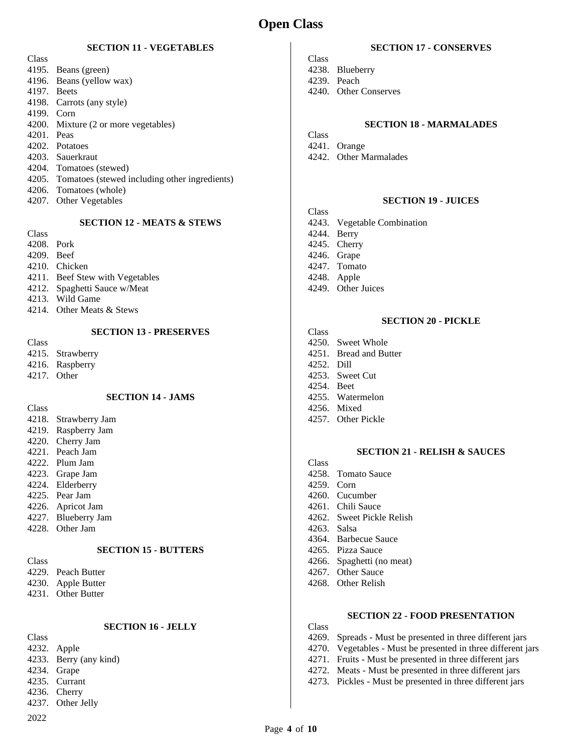#### **SECTION 11 - VEGETABLES**

| Class                |                                                     |
|----------------------|-----------------------------------------------------|
|                      | 4195. Beans (green)                                 |
|                      | 4196. Beans (yellow wax)                            |
| 4197. Beets          |                                                     |
|                      | 4198. Carrots (any style)                           |
| 4199. Corn           |                                                     |
|                      | 4200. Mixture (2 or more vegetables)                |
| 4201. Peas           |                                                     |
|                      | 4202. Potatoes                                      |
|                      | 4203. Sauerkraut                                    |
|                      | 4204. Tomatoes (stewed)                             |
|                      | 4205. Tomatoes (stewed including other ingredients) |
|                      | 4206. Tomatoes (whole)                              |
| $\sim$ $\sim$ $\sim$ |                                                     |

4207. Other Vegetables

#### **SECTION 12 - MEATS & STEWS**

| M.<br>.<br>v<br>v<br>v |
|------------------------|
|                        |

- 
- 4208. Pork 4209. Beef
- 
- 4210. Chicken
- 4211. Beef Stew with Vegetables
- 4212. Spaghetti Sauce w/Meat
- 4213. Wild Game
- 4214. Other Meats & Stews

#### **SECTION 13 - PRESERVES**

- Class
- 4215. Strawberry
- 4216. Raspberry
- 4217. Other

#### **SECTION 14 - JAMS**

Class

- 4218. Strawberry Jam
- 4219. Raspberry Jam
- 4220. Cherry Jam
- 4221. Peach Jam
- 4222. Plum Jam
- 4223. Grape Jam
- 4224. Elderberry 4225. Pear Jam
- 
- 4226. Apricot Jam 4227. Blueberry Jam
- 4228. Other Jam

#### **SECTION 15 - BUTTERS**

- Class 4229. Peach Butter
- 4230. Apple Butter
- 4231. Other Butter

## **SECTION 16 - JELLY**

2022 Class 4232. Apple 4233. Berry (any kind) 4234. Grape 4235. Currant 4236. Cherry 4237. Other Jelly

## **SECTION 17 - CONSERVES**

- Class 4238. Blueberry
- 4239. Peach
- 4240. Other Conserves

## **SECTION 18 - MARMALADES**

- Class
- 4241. Orange
- 4242. Other Marmalades

## **SECTION 19 - JUICES**

- Class
- 4243. Vegetable Combination
- 4244. Berry
- 4245. Cherry
- 4246. Grape
- 4247. Tomato
- 4248. Apple
- 4249. Other Juices

## **SECTION 20 - PICKLE**

- Class
- 4250. Sweet Whole
- 4251. Bread and Butter 4252. Dill
- 
- 4253. Sweet Cut 4254. Beet
- 
- 4255. Watermelon
- 4256. Mixed
- 4257. Other Pickle

#### **SECTION 21 - RELISH & SAUCES**

- Class
- 4258. Tomato Sauce
- 4259. Corn
- 4260. Cucumber
- 4261. Chili Sauce
- 4262. Sweet Pickle Relish
- 4263. Salsa
- 4364. Barbecue Sauce
- 4265. Pizza Sauce
- 4266. Spaghetti (no meat)
- 4267. Other Sauce
- 4268. Other Relish

## **SECTION 22 - FOOD PRESENTATION**

- 4269. Spreads Must be presented in three different jars
- 4270. Vegetables Must be presented in three different jars
- 4271. Fruits Must be presented in three different jars
- 4272. Meats Must be presented in three different jars
- 4273. Pickles Must be presented in three different jars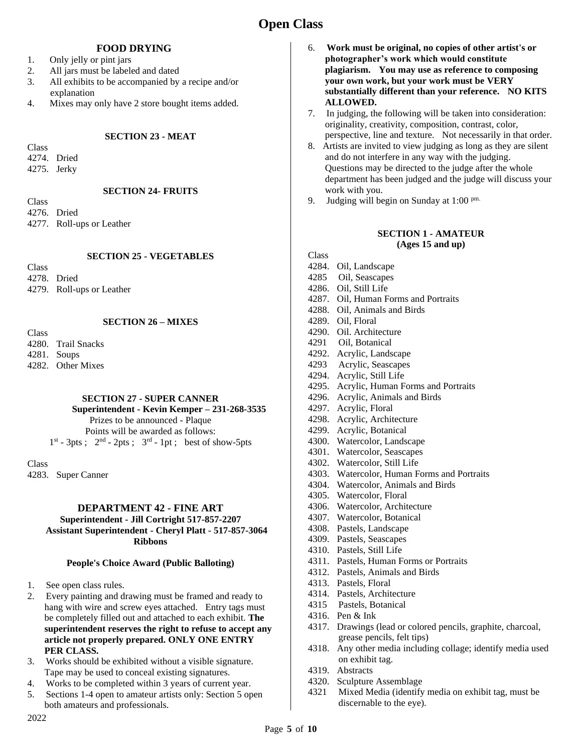# **Open Class**

#### **FOOD DRYING**

- 1. Only jelly or pint jars
- 2. All jars must be labeled and dated
- 3. All exhibits to be accompanied by a recipe and/or explanation
- 4. Mixes may only have 2 store bought items added.

#### **SECTION 23 - MEAT**

Class

- 4274. Dried
- 4275. Jerky

#### **SECTION 24- FRUITS**

**Class** 4276. Dried

4277. Roll-ups or Leather

## **SECTION 25 - VEGETABLES**

Class 4278. Dried 4279. Roll-ups or Leather

## **SECTION 26 – MIXES**

Class 4280. Trail Snacks 4281. Soups 4282. Other Mixes

## **SECTION 27 - SUPER CANNER**

 **Superintendent - Kevin Kemper – 231-268-3535**  Prizes to be announced - Plaque

Points will be awarded as follows:  $1<sup>st</sup> - 3pts$ ;  $2<sup>nd</sup> - 2pts$ ;  $3<sup>rd</sup> - 1pt$ ; best of show-5pts

**Class** 

4283. Super Canner

#### **DEPARTMENT 42 - FINE ART Superintendent - Jill Cortright 517-857-2207 Assistant Superintendent - Cheryl Platt - 517-857-3064 Ribbons**

#### **People's Choice Award (Public Balloting)**

- 1. See open class rules.
- 2. Every painting and drawing must be framed and ready to hang with wire and screw eyes attached. Entry tags must be completely filled out and attached to each exhibit. **The superintendent reserves the right to refuse to accept any article not properly prepared. ONLY ONE ENTRY PER CLASS.**
- 3. Works should be exhibited without a visible signature. Tape may be used to conceal existing signatures.
- 4. Works to be completed within 3 years of current year.
- 5. Sections 1-4 open to amateur artists only: Section 5 open both amateurs and professionals.
- 6. **Work must be original, no copies of other artist's or photographer's work which would constitute plagiarism. You may use as reference to composing your own work, but your work must be VERY substantially different than your reference. NO KITS ALLOWED.**
- 7. In judging, the following will be taken into consideration: originality, creativity, composition, contrast, color, perspective, line and texture. Not necessarily in that order.
- 8. Artists are invited to view judging as long as they are silent and do not interfere in any way with the judging. Questions may be directed to the judge after the whole department has been judged and the judge will discuss your work with you.
- 9. Judging will begin on Sunday at  $1:00^{pm}$ .

### **SECTION 1 - AMATEUR (Ages 15 and up)**

- 4284. Oil, Landscape
- 4285 Oil, Seascapes
- 4286. Oil, Still Life
- 4287. Oil, Human Forms and Portraits
- 4288. Oil, Animals and Birds
- 4289. Oil, Floral
- 4290. Oil. Architecture
- 4291 Oil, Botanical
- 4292. Acrylic, Landscape
- 4293 Acrylic, Seascapes
- 4294. Acrylic, Still Life
- 4295. Acrylic, Human Forms and Portraits
- 4296. Acrylic, Animals and Birds
- 4297. Acrylic, Floral
- 4298. Acrylic, Architecture
- 4299. Acrylic, Botanical
- 4300. Watercolor, Landscape
- 4301. Watercolor, Seascapes
- 4302. Watercolor, Still Life
- 4303. Watercolor, Human Forms and Portraits
- 4304. Watercolor, Animals and Birds
- 4305. Watercolor, Floral
- 4306. Watercolor, Architecture
- 4307. Watercolor, Botanical
- 4308. Pastels, Landscape
- 4309. Pastels, Seascapes
- 4310. Pastels, Still Life
- 4311. Pastels, Human Forms or Portraits
- 4312. Pastels, Animals and Birds
- 4313. Pastels, Floral
- 4314. Pastels, Architecture
- 4315 Pastels, Botanical
- 4316. Pen & Ink
- 4317. Drawings (lead or colored pencils, graphite, charcoal, grease pencils, felt tips)
- 4318. Any other media including collage; identify media used on exhibit tag.
- 4319. Abstracts
- 4320. Sculpture Assemblage
- 4321 Mixed Media (identify media on exhibit tag, must be discernable to the eye).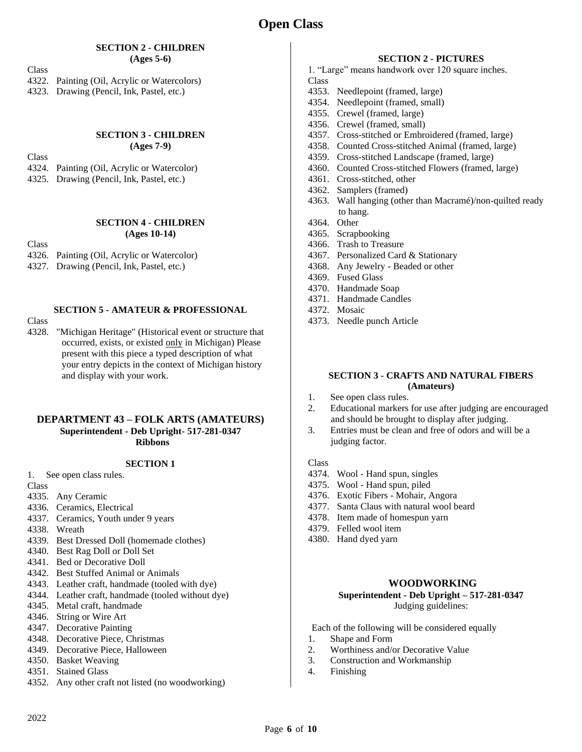#### **SECTION 2 - CHILDREN (Ages 5-6)**

Class

4322. Painting (Oil, Acrylic or Watercolors) 4323. Drawing (Pencil, Ink, Pastel, etc.)

#### **SECTION 3 - CHILDREN (Ages 7-9)**

Class

- 4324. Painting (Oil, Acrylic or Watercolor)
- 4325. Drawing (Pencil, Ink, Pastel, etc.)

#### **SECTION 4 - CHILDREN (Ages 10-14)**

Class

- 4326. Painting (Oil, Acrylic or Watercolor)
- 4327. Drawing (Pencil, Ink, Pastel, etc.)

## **SECTION 5 - AMATEUR & PROFESSIONAL**

Class

4328. "Michigan Heritage" (Historical event or structure that occurred, exists, or existed only in Michigan) Please present with this piece a typed description of what your entry depicts in the context of Michigan history and display with your work.

#### **DEPARTMENT 43 – FOLK ARTS (AMATEURS) Superintendent - Deb Upright- 517-281-0347 Ribbons**

#### **SECTION 1**

1. See open class rules.

Class

- 4335. Any Ceramic
- 4336. Ceramics, Electrical
- 4337. Ceramics, Youth under 9 years
- 4338. Wreath
- 4339. Best Dressed Doll (homemade clothes)
- 4340. Best Rag Doll or Doll Set
- 4341. Bed or Decorative Doll
- 4342. Best Stuffed Animal or Animals
- 4343. Leather craft, handmade (tooled with dye)
- 4344. Leather craft, handmade (tooled without dye)
- 4345. Metal craft, handmade
- 4346. String or Wire Art
- 4347. Decorative Painting
- 4348. Decorative Piece, Christmas
- 4349. Decorative Piece, Halloween
- 4350. Basket Weaving
- 4351. Stained Glass
- 4352. Any other craft not listed (no woodworking)

### **SECTION 2 - PICTURES**

- 1. "Large" means handwork over 120 square inches. Class
- 4353. Needlepoint (framed, large)
- 4354. Needlepoint (framed, small)
- 4355. Crewel (framed, large)
- 4356. Crewel (framed, small)
- 4357. Cross-stitched or Embroidered (framed, large)
- 4358. Counted Cross-stitched Animal (framed, large)
- 4359. Cross-stitched Landscape (framed, large)
- 4360. Counted Cross-stitched Flowers (framed, large)
- 4361. Cross-stitched, other
- 4362. Samplers (framed)
- 4363. Wall hanging (other than Macramé)/non-quilted ready to hang.
- 4364. Other
- 4365. Scrapbooking
- 4366. Trash to Treasure
- 4367. Personalized Card & Stationary
- 4368. Any Jewelry Beaded or other
- 4369. Fused Glass
- 4370. Handmade Soap
- 4371. Handmade Candles
- 4372. Mosaic
- 4373. Needle punch Article

#### **SECTION 3 - CRAFTS AND NATURAL FIBERS (Amateurs)**

- 1. See open class rules.
- 2. Educational markers for use after judging are encouraged and should be brought to display after judging.
- 3. Entries must be clean and free of odors and will be a judging factor.

#### **Class**

- 4374. Wool Hand spun, singles
- 4375. Wool Hand spun, piled
- 4376. Exotic Fibers Mohair, Angora
- 4377. Santa Claus with natural wool beard
- 4378. Item made of homespun yarn
- 4379. Felled wool item
- 4380. Hand dyed yarn

#### **WOODWORKING**

#### **Superintendent - Deb Upright – 517-281-0347** Judging guidelines:

- Each of the following will be considered equally
- 1. Shape and Form
- 2. Worthiness and/or Decorative Value
- 3. Construction and Workmanship
- 4. Finishing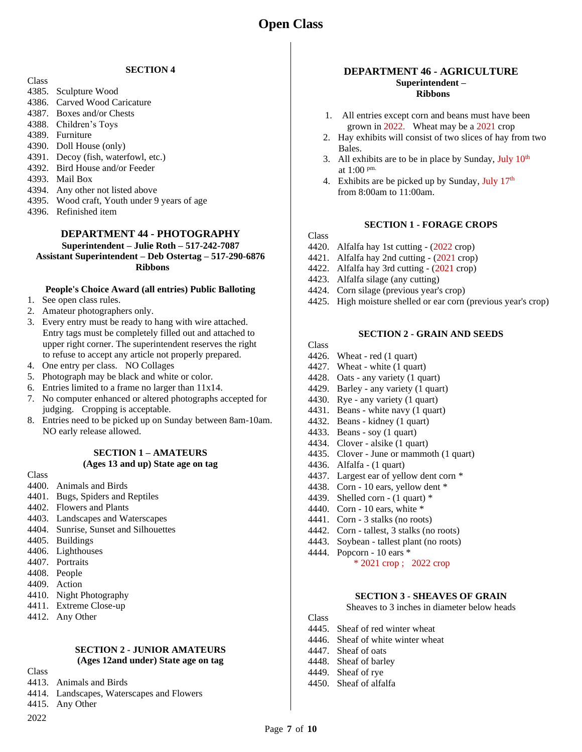#### **SECTION 4**

- Class
- 4385. Sculpture Wood
- 4386. Carved Wood Caricature
- 4387. Boxes and/or Chests
- 4388. Children's Toys
- 4389. Furniture
- 4390. Doll House (only)
- 4391. Decoy (fish, waterfowl, etc.)
- 4392. Bird House and/or Feeder
- 4393. Mail Box
- 4394. Any other not listed above
- 4395. Wood craft, Youth under 9 years of age
- 4396. Refinished item

## **DEPARTMENT 44 - PHOTOGRAPHY**

**Superintendent – Julie Roth – 517-242-7087**

**Assistant Superintendent – Deb Ostertag – 517-290-6876 Ribbons**

#### **People's Choice Award (all entries) Public Balloting**

- 1. See open class rules.
- 2. Amateur photographers only.
- 3. Every entry must be ready to hang with wire attached. Entry tags must be completely filled out and attached to upper right corner. The superintendent reserves the right to refuse to accept any article not properly prepared.
- 4. One entry per class. NO Collages
- 5. Photograph may be black and white or color.
- 6. Entries limited to a frame no larger than 11x14.
- 7. No computer enhanced or altered photographs accepted for judging. Cropping is acceptable.
- 8. Entries need to be picked up on Sunday between 8am-10am. NO early release allowed.

#### **SECTION 1 – AMATEURS (Ages 13 and up) State age on tag**

Class

- 4400. Animals and Birds
- 4401. Bugs, Spiders and Reptiles
- 4402. Flowers and Plants
- 4403. Landscapes and Waterscapes
- 4404. Sunrise, Sunset and Silhouettes
- 4405. Buildings
- 4406. Lighthouses
- 4407. Portraits
- 4408. People
- 4409. Action
- 4410. Night Photography
- 4411. Extreme Close-up
- 4412. Any Other

#### **SECTION 2 - JUNIOR AMATEURS (Ages 12and under) State age on tag**

- Class
- 4413. Animals and Birds
- 4414. Landscapes, Waterscapes and Flowers
- 4415. Any Other

2022

#### **DEPARTMENT 46 - AGRICULTURE Superintendent – Ribbons**

- 1. All entries except corn and beans must have been grown in 2022. Wheat may be a 2021 crop
- 2. Hay exhibits will consist of two slices of hay from two Bales.
- 3. All exhibits are to be in place by Sunday, July  $10<sup>th</sup>$ at 1:00 pm.
- 4. Exhibits are be picked up by Sunday, July  $17<sup>th</sup>$ from 8:00am to 11:00am.

## **SECTION 1 - FORAGE CROPS**

#### Class

- 4420. Alfalfa hay 1st cutting (2022 crop)
- 4421. Alfalfa hay 2nd cutting (2021 crop)
- 4422. Alfalfa hay 3rd cutting (2021 crop)
- 4423. Alfalfa silage (any cutting)
- 4424. Corn silage (previous year's crop)
- 4425. High moisture shelled or ear corn (previous year's crop)

### **SECTION 2 - GRAIN AND SEEDS**

Class

- 4426. Wheat red (1 quart) 4427. Wheat - white (1 quart)
- 
- 4428. Oats any variety (1 quart)
- 4429. Barley any variety (1 quart)
- 4430. Rye any variety (1 quart)
- 4431. Beans white navy (1 quart)
- 4432. Beans kidney (1 quart)
- 4433. Beans soy (1 quart)
- 4434. Clover alsike (1 quart)
- 4435. Clover June or mammoth (1 quart)
- 4436. Alfalfa (1 quart)
- 4437. Largest ear of yellow dent corn \*
- 4438. Corn 10 ears, yellow dent \*
- 4439. Shelled corn  $(1$  quart)  $*$
- 4440. Corn 10 ears, white \*
- 4441. Corn 3 stalks (no roots)
- 4442. Corn tallest, 3 stalks (no roots)
- 4443. Soybean tallest plant (no roots)
- 4444. Popcorn 10 ears \* \* 2021 crop ; 2022 crop

#### **SECTION 3 - SHEAVES OF GRAIN**

Sheaves to 3 inches in diameter below heads

- 4445. Sheaf of red winter wheat
- 4446. Sheaf of white winter wheat
- 4447. Sheaf of oats
- 4448. Sheaf of barley
- 4449. Sheaf of rye
- 4450. Sheaf of alfalfa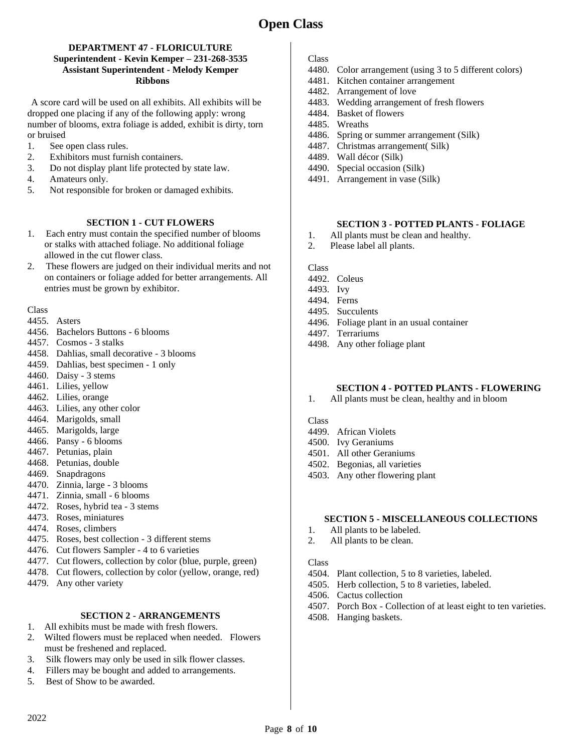#### **DEPARTMENT 47 - FLORICULTURE Superintendent - Kevin Kemper – 231-268-3535 Assistant Superintendent - Melody Kemper Ribbons**

A score card will be used on all exhibits. All exhibits will be dropped one placing if any of the following apply: wrong number of blooms, extra foliage is added, exhibit is dirty, torn or bruised

- 1. See open class rules.
- 2. Exhibitors must furnish containers.
- 3. Do not display plant life protected by state law.
- 4. Amateurs only.
- 5. Not responsible for broken or damaged exhibits.

#### **SECTION 1 - CUT FLOWERS**

- 1. Each entry must contain the specified number of blooms or stalks with attached foliage. No additional foliage allowed in the cut flower class.
- 2. These flowers are judged on their individual merits and not on containers or foliage added for better arrangements. All entries must be grown by exhibitor.

Class

- 4455. Asters
- 4456. Bachelors Buttons 6 blooms
- 4457. Cosmos 3 stalks
- 4458. Dahlias, small decorative 3 blooms
- 4459. Dahlias, best specimen 1 only
- 4460. Daisy 3 stems
- 4461. Lilies, yellow
- 4462. Lilies, orange
- 4463. Lilies, any other color
- 4464. Marigolds, small
- 4465. Marigolds, large
- 4466. Pansy 6 blooms
- 4467. Petunias, plain
- 4468. Petunias, double
- 4469. Snapdragons
- 4470. Zinnia, large 3 blooms
- 4471. Zinnia, small 6 blooms
- 4472. Roses, hybrid tea 3 stems
- 4473. Roses, miniatures
- 4474. Roses, climbers
- 4475. Roses, best collection 3 different stems
- 4476. Cut flowers Sampler 4 to 6 varieties
- 4477. Cut flowers, collection by color (blue, purple, green)
- 4478. Cut flowers, collection by color (yellow, orange, red)
- 4479. Any other variety

## **SECTION 2 - ARRANGEMENTS**

- 1. All exhibits must be made with fresh flowers.
- 2. Wilted flowers must be replaced when needed. Flowers must be freshened and replaced.
- 3. Silk flowers may only be used in silk flower classes.
- 4. Fillers may be bought and added to arrangements.
- 5. Best of Show to be awarded.

#### Class

- 4480. Color arrangement (using 3 to 5 different colors)
- 4481. Kitchen container arrangement
- 4482. Arrangement of love
- 4483. Wedding arrangement of fresh flowers
- 4484. Basket of flowers
- 4485. Wreaths
- 4486. Spring or summer arrangement (Silk)
- 4487. Christmas arrangement( Silk)
- 4489. Wall décor (Silk)
- 4490. Special occasion (Silk)
- 4491. Arrangement in vase (Silk)

#### **SECTION 3 - POTTED PLANTS - FOLIAGE**

- 1. All plants must be clean and healthy.
- 2. Please label all plants.

Class

- 4492. Coleus
- 4493. Ivy
- 4494. Ferns
- 4495. Succulents
- 4496. Foliage plant in an usual container
- 4497. Terrariums
- 4498. Any other foliage plant

### **SECTION 4 - POTTED PLANTS - FLOWERING**

1. All plants must be clean, healthy and in bloom

Class

- 4499. African Violets
- 4500. Ivy Geraniums
- 4501. All other Geraniums
- 4502. Begonias, all varieties
- 4503. Any other flowering plant

#### **SECTION 5 - MISCELLANEOUS COLLECTIONS**

- 1. All plants to be labeled.
- 2. All plants to be clean.

- 4504. Plant collection, 5 to 8 varieties, labeled.
- 4505. Herb collection, 5 to 8 varieties, labeled.
- 4506. Cactus collection
- 4507. Porch Box Collection of at least eight to ten varieties.
- 4508. Hanging baskets.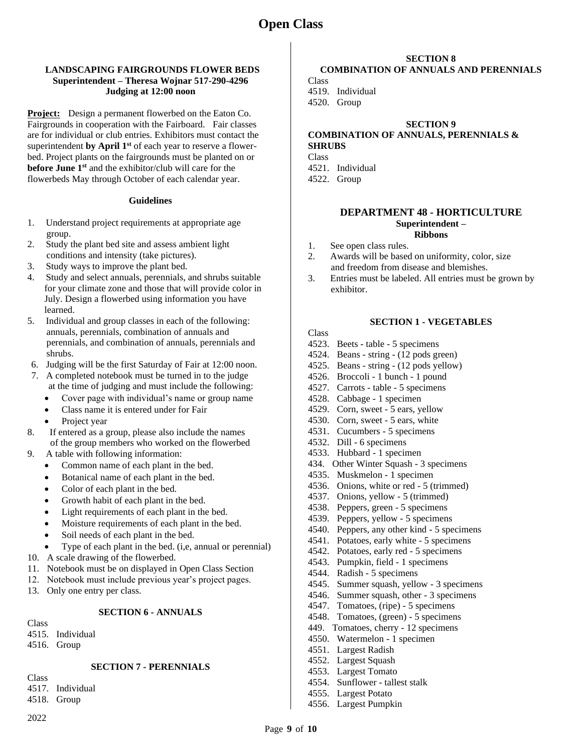# **Open Class**

#### **LANDSCAPING FAIRGROUNDS FLOWER BEDS Superintendent – Theresa Wojnar 517-290-4296 Judging at 12:00 noon**

**Project:** Design a permanent flowerbed on the Eaton Co. Fairgrounds in cooperation with the Fairboard. Fair classes are for individual or club entries. Exhibitors must contact the superintendent **by April 1st** of each year to reserve a flowerbed. Project plants on the fairgrounds must be planted on or **before June 1st** and the exhibitor/club will care for the flowerbeds May through October of each calendar year.

#### **Guidelines**

- 1. Understand project requirements at appropriate age group.
- 2. Study the plant bed site and assess ambient light conditions and intensity (take pictures).
- 3. Study ways to improve the plant bed.
- 4. Study and select annuals, perennials, and shrubs suitable for your climate zone and those that will provide color in July. Design a flowerbed using information you have learned.
- 5. Individual and group classes in each of the following: annuals, perennials, combination of annuals and perennials, and combination of annuals, perennials and shrubs.
- 6. Judging will be the first Saturday of Fair at 12:00 noon.
- 7. A completed notebook must be turned in to the judge at the time of judging and must include the following:
	- Cover page with individual's name or group name
	- Class name it is entered under for Fair
	- Project year
- 8. If entered as a group, please also include the names of the group members who worked on the flowerbed
- 9. A table with following information:
	- Common name of each plant in the bed.
	- Botanical name of each plant in the bed.
	- Color of each plant in the bed.
	- Growth habit of each plant in the bed.
	- Light requirements of each plant in the bed.
	- Moisture requirements of each plant in the bed.
	- Soil needs of each plant in the bed.
	- Type of each plant in the bed. (i,e, annual or perennial)
- 10. A scale drawing of the flowerbed.
- 11. Notebook must be on displayed in Open Class Section
- 12. Notebook must include previous year's project pages.
- 13. Only one entry per class.

## **SECTION 6 - ANNUALS**

- **Class**
- 4515. Individual
- 4516. Group

## **SECTION 7 - PERENNIALS**

Class 4517. Individual

- 4518. Group
- 2022

#### **SECTION 8 COMBINATION OF ANNUALS AND PERENNIALS**

**Class** 4519. Individual 4520. Group

### **SECTION 9**

## **COMBINATION OF ANNUALS, PERENNIALS & SHRUBS**

Class

- 4521. Individual 4522. Group
- 

## **DEPARTMENT 48 - HORTICULTURE Superintendent –**

- **Ribbons**
- 1. See open class rules.
- 2. Awards will be based on uniformity, color, size and freedom from disease and blemishes.
- 3. Entries must be labeled. All entries must be grown by exhibitor.

#### **SECTION 1 - VEGETABLES**

- 4523. Beets table 5 specimens
- 4524. Beans string (12 pods green)
- 4525. Beans string (12 pods yellow)
- 4526. Broccoli 1 bunch 1 pound
- 4527. Carrots table 5 specimens
- 4528. Cabbage 1 specimen
- 4529. Corn, sweet 5 ears, yellow
- 4530. Corn, sweet 5 ears, white
- 4531. Cucumbers 5 specimens
- 4532. Dill 6 specimens
- 4533. Hubbard 1 specimen
- 434. Other Winter Squash 3 specimens
- 4535. Muskmelon 1 specimen
- 4536. Onions, white or red 5 (trimmed)
- 4537. Onions, yellow 5 (trimmed)
- 4538. Peppers, green 5 specimens
- 4539. Peppers, yellow 5 specimens
- 4540. Peppers, any other kind 5 specimens
- 4541. Potatoes, early white 5 specimens
- 4542. Potatoes, early red 5 specimens
- 4543. Pumpkin, field 1 specimens
- 4544. Radish 5 specimens
- 4545. Summer squash, yellow 3 specimens
- 4546. Summer squash, other 3 specimens
- 4547. Tomatoes, (ripe) 5 specimens
- 4548. Tomatoes, (green) 5 specimens
- 449. Tomatoes, cherry 12 specimens
- 4550. Watermelon 1 specimen
- 4551. Largest Radish
- 4552. Largest Squash
- 4553. Largest Tomato
- 4554. Sunflower tallest stalk
- 4555. Largest Potato
- 4556. Largest Pumpkin